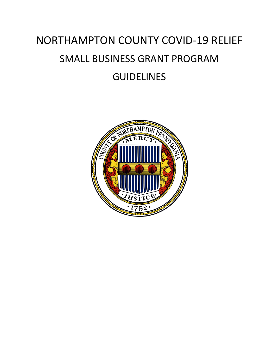# NORTHAMPTON COUNTY COVID-19 RELIEF SMALL BUSINESS GRANT PROGRAM **GUIDELINES**

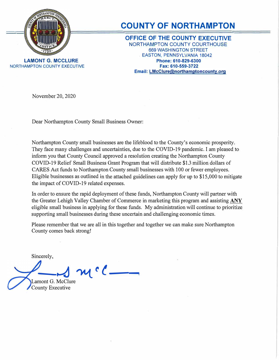

NORTHAMPTON COUNTY EXECUTIVE

#### **COUNTY OF NORTHAMPTON**

**OFFICE OF THE COUNTY EXECUTIVE**  NORTHAMPTON COUNTY COURTHOUSE 669 WASHINGTON STREET . EASTON, PENNSYLVANIA 18042 **Phone: 610-829-6300 Fax: 610-559-3722 Email: LMcClure@northamptoncounty.org** 

November 20, 2020

Dear Northampton County Small Business Owner:

Northampton County small businesses are the lifeblood to the County's economic prosperity. They face many challenges and uncertainties, due to the COVID-19 pandemic. I am pleased to inform you that County Council approved a resolution creating the Northampton County COVID-19 Relief Small Business Grant Program that will distribute \$1.3 million dollars of CARES Act funds to Northampton County small businesses with 100 or fewer employees. Eligible businesses as outlined in the attached guidelines can apply for up to \$15,000 to mitigate the impact of COVID-19 related expenses.

In order to ensure the rapid deployment of these funds, Northampton County will partner with the Greater Lehigh Valley Chamber of Commerce in marketing this program and assisting **ANY**  eligible small business in applying for these funds. My administration will continue to prioritize supporting small businesses during these uncertain and challenging economic times.

Please remember that we are all in this together and together we can make sure Northampton County comes back strong!

Sincerely,

**---� �r( \_\_**  Lamont G. McClure County Executive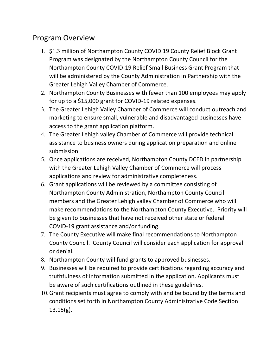#### Program Overview

- 1. \$1.3 million of Northampton County COVID 19 County Relief Block Grant Program was designated by the Northampton County Council for the Northampton County COVID-19 Relief Small Business Grant Program that will be administered by the County Administration in Partnership with the Greater Lehigh Valley Chamber of Commerce.
- 2. Northampton County Businesses with fewer than 100 employees may apply for up to a \$15,000 grant for COVID-19 related expenses.
- 3. The Greater Lehigh Valley Chamber of Commerce will conduct outreach and marketing to ensure small, vulnerable and disadvantaged businesses have access to the grant application platform.
- 4. The Greater Lehigh valley Chamber of Commerce will provide technical assistance to business owners during application preparation and online submission.
- 5. Once applications are received, Northampton County DCED in partnership with the Greater Lehigh Valley Chamber of Commerce will process applications and review for administrative completeness.
- 6. Grant applications will be reviewed by a committee consisting of Northampton County Administration, Northampton County Council members and the Greater Lehigh valley Chamber of Commerce who will make recommendations to the Northampton County Executive. Priority will be given to businesses that have not received other state or federal COVID-19 grant assistance and/or funding.
- 7. The County Executive will make final recommendations to Northampton County Council. County Council will consider each application for approval or denial.
- 8. Northampton County will fund grants to approved businesses.
- 9. Businesses will be required to provide certifications regarding accuracy and truthfulness of information submitted in the application. Applicants must be aware of such certifications outlined in these guidelines.
- 10.Grant recipients must agree to comply with and be bound by the terms and conditions set forth in Northampton County Administrative Code Section  $13.15(g)$ .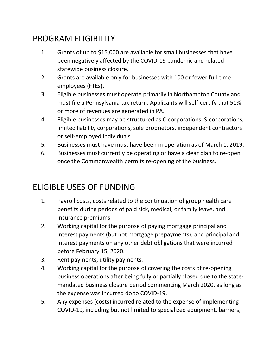### PROGRAM ELIGIBILITY

- 1. Grants of up to \$15,000 are available for small businesses that have been negatively affected by the COVID-19 pandemic and related statewide business closure.
- 2. Grants are available only for businesses with 100 or fewer full-time employees (FTEs).
- 3. Eligible businesses must operate primarily in Northampton County and must file a Pennsylvania tax return. Applicants will self-certify that 51% or more of revenues are generated in PA.
- 4. Eligible businesses may be structured as C-corporations, S-corporations, limited liability corporations, sole proprietors, independent contractors or self-employed individuals.
- 5. Businesses must have must have been in operation as of March 1, 2019.
- 6. Businesses must currently be operating or have a clear plan to re-open once the Commonwealth permits re-opening of the business.

#### ELIGIBLE USES OF FUNDING

- 1. Payroll costs, costs related to the continuation of group health care benefits during periods of paid sick, medical, or family leave, and insurance premiums.
- 2. Working capital for the purpose of paying mortgage principal and interest payments (but not mortgage prepayments); and principal and interest payments on any other debt obligations that were incurred before February 15, 2020.
- 3. Rent payments, utility payments.
- 4. Working capital for the purpose of covering the costs of re-opening business operations after being fully or partially closed due to the statemandated business closure period commencing March 2020, as long as the expense was incurred do to COVID-19.
- 5. Any expenses (costs) incurred related to the expense of implementing COVID-19, including but not limited to specialized equipment, barriers,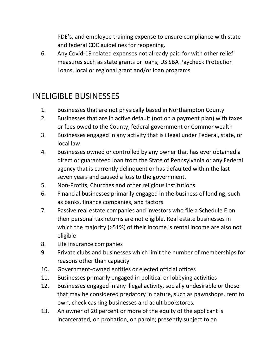PDE's, and employee training expense to ensure compliance with state and federal CDC guidelines for reopening.

6. Any Covid-19 related expenses not already paid for with other relief measures such as state grants or loans, US SBA Paycheck Protection Loans, local or regional grant and/or loan programs

## INELIGIBLE BUSINESSES

- 1. Businesses that are not physically based in Northampton County
- 2. Businesses that are in active default (not on a payment plan) with taxes or fees owed to the County, federal government or Commonwealth
- 3. Businesses engaged in any activity that is illegal under Federal, state, or local law
- 4. Businesses owned or controlled by any owner that has ever obtained a direct or guaranteed loan from the State of Pennsylvania or any Federal agency that is currently delinquent or has defaulted within the last seven years and caused a loss to the government.
- 5. Non-Profits, Churches and other religious institutions
- 6. Financial businesses primarily engaged in the business of lending, such as banks, finance companies, and factors
- 7. Passive real estate companies and investors who file a Schedule E on their personal tax returns are not eligible. Real estate businesses in which the majority (>51%) of their income is rental income are also not eligible
- 8. Life insurance companies
- 9. Private clubs and businesses which limit the number of memberships for reasons other than capacity
- 10. Government-owned entities or elected official offices
- 11. Businesses primarily engaged in political or lobbying activities
- 12. Businesses engaged in any illegal activity, socially undesirable or those that may be considered predatory in nature, such as pawnshops, rent to own, check cashing businesses and adult bookstores.
- 13. An owner of 20 percent or more of the equity of the applicant is incarcerated, on probation, on parole; presently subject to an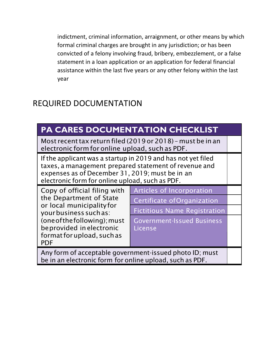indictment, criminal information, arraignment, or other means by which formal criminal charges are brought in any jurisdiction; or has been convicted of a felony involving fraud, bribery, embezzlement, or a false statement in a loan application or an application for federal financial assistance within the last five years or any other felony within the last year

#### REQUIRED DOCUMENTATION

| <b>PA CARES DOCUMENTATION CHECKLIST</b>                                                                                                                                                                                     |                                     |  |
|-----------------------------------------------------------------------------------------------------------------------------------------------------------------------------------------------------------------------------|-------------------------------------|--|
| Most recent tax return filed (2019 or 2018) - must be in an<br>electronic form for online upload, such as PDF.                                                                                                              |                                     |  |
| If the applicant was a startup in 2019 and has not yet filed<br>taxes, a management prepared statement of revenue and<br>expenses as of December 31, 2019; must be in an<br>electronic form for online upload, such as PDF. |                                     |  |
| Copy of official filing with<br>the Department of State<br>or local municipality for<br>your business such as:<br>(one of the following); must<br>be provided in electronic<br>format for upload, such as<br><b>PDF</b>     | Articles of Incorporation           |  |
|                                                                                                                                                                                                                             | Certificate of Organization         |  |
|                                                                                                                                                                                                                             | <b>Fictitious Name Registration</b> |  |
|                                                                                                                                                                                                                             | <b>Government-Issued Business</b>   |  |
|                                                                                                                                                                                                                             | License                             |  |
|                                                                                                                                                                                                                             |                                     |  |
| Any form of acceptable government-issued photo ID; must<br>be in an electronic form for online upload, such as PDF.                                                                                                         |                                     |  |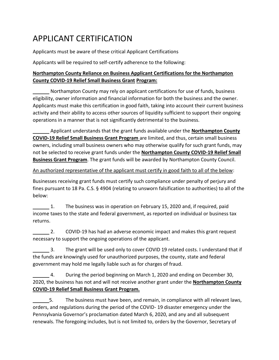## APPLICANT CERTIFICATION

Applicants must be aware of these critical Applicant Certifications

Applicants will be required to self-certify adherence to the following:

#### **Northampton County Reliance on Business Applicant Certifications for the Northampton County COVID-19 Relief Small Business Grant Program:**

Northampton County may rely on applicant certifications for use of funds, business eligibility, owner information and financial information for both the business and the owner. Applicants must make this certification in good faith, taking into account their current business activity and their ability to access other sources of liquidity sufficient to support their ongoing operations in a manner that is not significantly detrimental to the business.

Applicant understands that the grant funds available under the **Northampton County COVID-19 Relief Small Business Grant Program** are limited, and thus, certain small business owners, including small business owners who may otherwise qualify for such grant funds, may not be selected to receive grant funds under the **Northampton County COVID-19 Relief Small Business Grant Program**. The grant funds will be awarded by Northampton County Council.

#### An authorized representative of the applicant must certify in good faith to all of the below:

Businesses receiving grant funds must certify such compliance under penalty of perjury and fines pursuant to 18 Pa. C.S. § 4904 (relating to unsworn falsification to authorities) to all of the below:

1. The business was in operation on February 15, 2020 and, if required, paid income taxes to the state and federal government, as reported on individual or business tax returns.

2. COVID-19 has had an adverse economic impact and makes this grant request necessary to support the ongoing operations of the applicant.

3. The grant will be used only to cover COVID 19 related costs. I understand that if the funds are knowingly used for unauthorized purposes, the county, state and federal government may hold me legally liable such as for charges of fraud.

4. During the period beginning on March 1, 2020 and ending on December 30, 2020, the business has not and will not receive another grant under the **Northampton County COVID-19 Relief Small Business Grant Program.**

5. The business must have been, and remain, in compliance with all relevant laws, orders, and regulations during the period of the COVID- 19 disaster emergency under the Pennsylvania Governor's proclamation dated March 6, 2020, and any and all subsequent renewals. The foregoing includes, but is not limited to, orders by the Governor, Secretary of